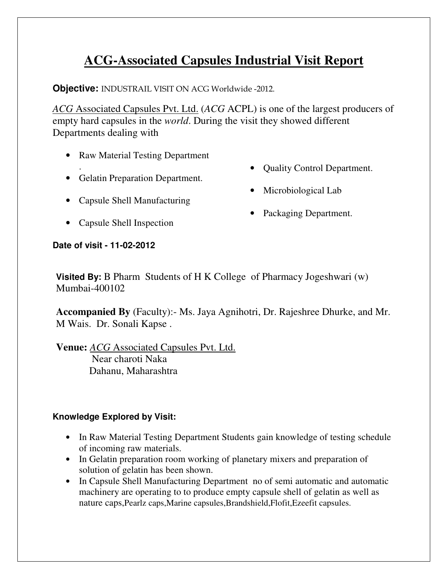## **ACG-Associated Capsules Industrial Visit Report**

**Objective:** INDUSTRAIL VISIT ON ACG Worldwide -2012.

*ACG* Associated Capsules Pvt. Ltd. (*ACG* ACPL) is one of the largest producers of empty hard capsules in the *world*. During the visit they showed different Departments dealing with

- Raw Material Testing Department
- . • Gelatin Preparation Department.
- Capsule Shell Manufacturing
- Capsule Shell Inspection
- Quality Control Department.
- Microbiological Lab
- Packaging Department.

**Date of visit - 11-02-2012** 

**Visited By:** B Pharm Students of H K College of Pharmacy Jogeshwari (w) Mumbai-400102

**Accompanied By** (Faculty):- Ms. Jaya Agnihotri, Dr. Rajeshree Dhurke, and Mr. M Wais. Dr. Sonali Kapse .

**Venue:** *ACG* Associated Capsules Pvt. Ltd. Near charoti Naka Dahanu, Maharashtra

## **Knowledge Explored by Visit:**

- In Raw Material Testing Department Students gain knowledge of testing schedule of incoming raw materials.
- In Gelatin preparation room working of planetary mixers and preparation of solution of gelatin has been shown.
- In Capsule Shell Manufacturing Department no of semi automatic and automatic machinery are operating to to produce empty capsule shell of gelatin as well as nature caps,Pearlz caps,Marine capsules,Brandshield,Flofit,Ezeefit capsules.